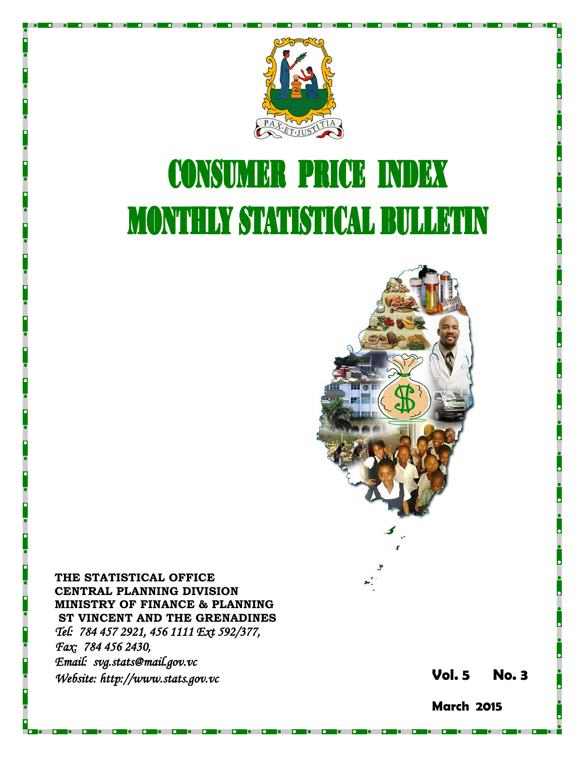

# **CONSUMER PRICE INDEX MONTHLY STATISTICAL BULLETIN**



**THE STATISTICAL OFFICE CENTRAL PLANNING DIVISION MINISTRY OF FINANCE & PLANNING ST VINCENT AND THE GRENADINES** *Tel: 784 457 2921, 456 1111 Ext 592/377, Fax: 784 456 2430, Email: svg.stats@mail.gov.vc Website: http://www.stats.gov.vc* **Vol. 5** 

**5 No. 3**

**March 2015**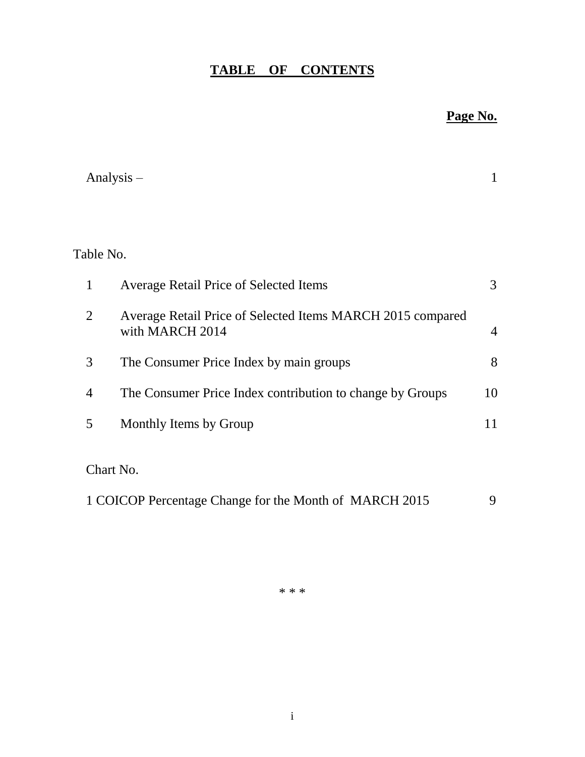# **TABLE OF CONTENTS**

# **Page No.**

|                | Analysis $-$                                                                  | $\mathbf{1}$   |
|----------------|-------------------------------------------------------------------------------|----------------|
|                |                                                                               |                |
|                | Table No.                                                                     |                |
| $\mathbf{1}$   | <b>Average Retail Price of Selected Items</b>                                 | 3              |
| $\overline{2}$ | Average Retail Price of Selected Items MARCH 2015 compared<br>with MARCH 2014 | $\overline{4}$ |
| 3              | The Consumer Price Index by main groups                                       | 8              |
| 4              | The Consumer Price Index contribution to change by Groups                     | 10             |
| 5              | Monthly Items by Group                                                        | 11             |
|                | Chart No.                                                                     |                |
|                | 1 COICOP Percentage Change for the Month of MARCH 2015                        | 9              |

\* \* \*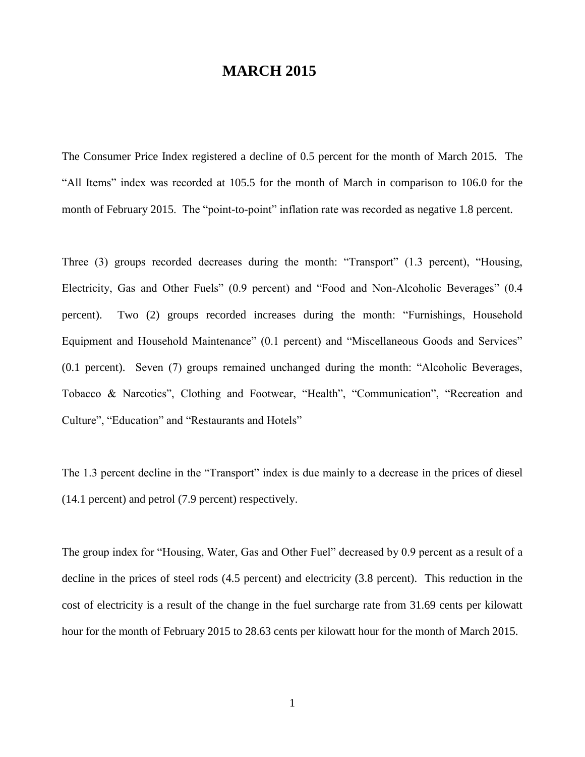## **MARCH 2015**

The Consumer Price Index registered a decline of 0.5 percent for the month of March 2015. The "All Items" index was recorded at 105.5 for the month of March in comparison to 106.0 for the month of February 2015. The "point-to-point" inflation rate was recorded as negative 1.8 percent.

Three (3) groups recorded decreases during the month: "Transport" (1.3 percent), "Housing, Electricity, Gas and Other Fuels" (0.9 percent) and "Food and Non-Alcoholic Beverages" (0.4 percent). Two (2) groups recorded increases during the month: "Furnishings, Household Equipment and Household Maintenance" (0.1 percent) and "Miscellaneous Goods and Services" (0.1 percent). Seven (7) groups remained unchanged during the month: "Alcoholic Beverages, Tobacco & Narcotics", Clothing and Footwear, "Health", "Communication", "Recreation and Culture", "Education" and "Restaurants and Hotels"

The 1.3 percent decline in the "Transport" index is due mainly to a decrease in the prices of diesel (14.1 percent) and petrol (7.9 percent) respectively.

The group index for "Housing, Water, Gas and Other Fuel" decreased by 0.9 percent as a result of a decline in the prices of steel rods (4.5 percent) and electricity (3.8 percent). This reduction in the cost of electricity is a result of the change in the fuel surcharge rate from 31.69 cents per kilowatt hour for the month of February 2015 to 28.63 cents per kilowatt hour for the month of March 2015.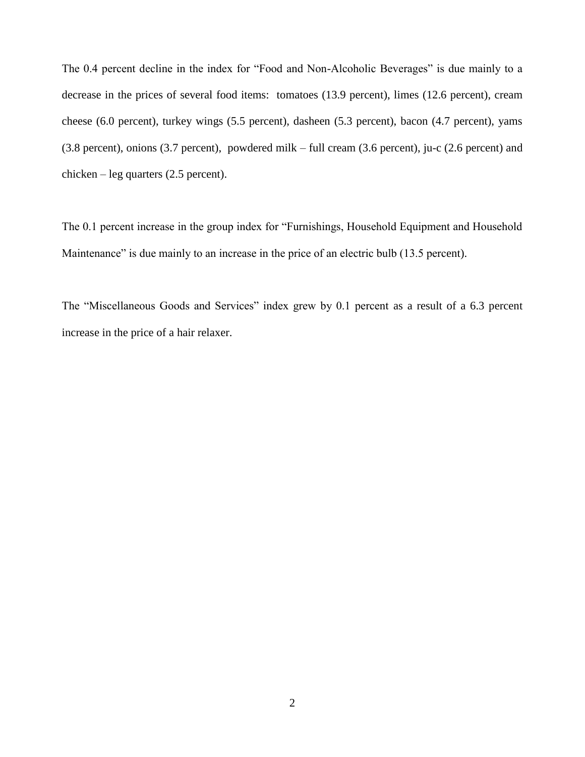The 0.4 percent decline in the index for "Food and Non-Alcoholic Beverages" is due mainly to a decrease in the prices of several food items: tomatoes (13.9 percent), limes (12.6 percent), cream cheese (6.0 percent), turkey wings (5.5 percent), dasheen (5.3 percent), bacon (4.7 percent), yams (3.8 percent), onions (3.7 percent), powdered milk – full cream (3.6 percent), ju-c (2.6 percent) and chicken – leg quarters (2.5 percent).

The 0.1 percent increase in the group index for "Furnishings, Household Equipment and Household Maintenance" is due mainly to an increase in the price of an electric bulb (13.5 percent).

The "Miscellaneous Goods and Services" index grew by 0.1 percent as a result of a 6.3 percent increase in the price of a hair relaxer.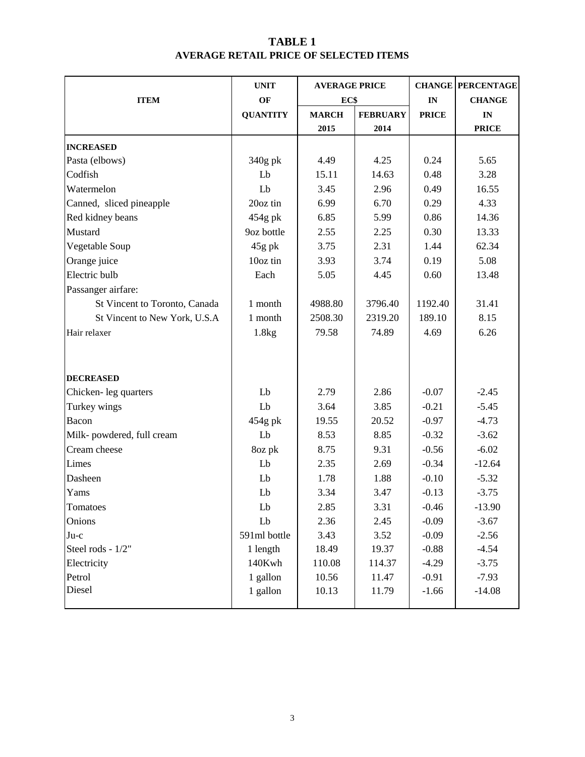## **TABLE 1 AVERAGE RETAIL PRICE OF SELECTED ITEMS**

|                               | <b>UNIT</b>     | <b>AVERAGE PRICE</b> |                 |              | <b>CHANGE PERCENTAGE</b> |
|-------------------------------|-----------------|----------------------|-----------------|--------------|--------------------------|
| <b>ITEM</b>                   | OF              | EC\$                 |                 | IN           | <b>CHANGE</b>            |
|                               | <b>QUANTITY</b> | <b>MARCH</b>         | <b>FEBRUARY</b> | <b>PRICE</b> | IN                       |
|                               |                 | 2015                 | 2014            |              | <b>PRICE</b>             |
| <b>INCREASED</b>              |                 |                      |                 |              |                          |
| Pasta (elbows)                | 340g pk         | 4.49                 | 4.25            | 0.24         | 5.65                     |
| Codfish                       | Lb              | 15.11                | 14.63           | 0.48         | 3.28                     |
| Watermelon                    | Lb              | 3.45                 | 2.96            | 0.49         | 16.55                    |
| Canned, sliced pineapple      | 20oz tin        | 6.99                 | 6.70            | 0.29         | 4.33                     |
| Red kidney beans              | 454g pk         | 6.85                 | 5.99            | 0.86         | 14.36                    |
| Mustard                       | 9oz bottle      | 2.55                 | 2.25            | 0.30         | 13.33                    |
| Vegetable Soup                | 45g pk          | 3.75                 | 2.31            | 1.44         | 62.34                    |
| Orange juice                  | 10oz tin        | 3.93                 | 3.74            | 0.19         | 5.08                     |
| Electric bulb                 | Each            | 5.05                 | 4.45            | 0.60         | 13.48                    |
| Passanger airfare:            |                 |                      |                 |              |                          |
| St Vincent to Toronto, Canada | 1 month         | 4988.80              | 3796.40         | 1192.40      | 31.41                    |
| St Vincent to New York, U.S.A | 1 month         | 2508.30              | 2319.20         | 189.10       | 8.15                     |
| Hair relaxer                  | 1.8kg           | 79.58                | 74.89           | 4.69         | 6.26                     |
|                               |                 |                      |                 |              |                          |
|                               |                 |                      |                 |              |                          |
| <b>DECREASED</b>              |                 |                      |                 |              |                          |
| Chicken-leg quarters          | Lb              | 2.79                 | 2.86            | $-0.07$      | $-2.45$                  |
| Turkey wings                  | Lb              | 3.64                 | 3.85            | $-0.21$      | $-5.45$                  |
| Bacon                         | 454g pk         | 19.55                | 20.52           | $-0.97$      | $-4.73$                  |
| Milk-powdered, full cream     | Lb              | 8.53                 | 8.85            | $-0.32$      | $-3.62$                  |
| Cream cheese                  | 8oz pk          | 8.75                 | 9.31            | $-0.56$      | $-6.02$                  |
| Limes                         | Lb              | 2.35                 | 2.69            | $-0.34$      | $-12.64$                 |
| Dasheen                       | Lb              | 1.78                 | 1.88            | $-0.10$      | $-5.32$                  |
| Yams                          | Lb              | 3.34                 | 3.47            | $-0.13$      | $-3.75$                  |
| Tomatoes                      | Lb              | 2.85                 | 3.31            | $-0.46$      | $-13.90$                 |
| Onions                        | Lb              | 2.36                 | 2.45            | $-0.09$      | $-3.67$                  |
| $Ju-c$                        | 591ml bottle    | 3.43                 | 3.52            | $-0.09$      | $-2.56$                  |
| Steel rods - 1/2"             | 1 length        | 18.49                | 19.37           | $-0.88$      | $-4.54$                  |
| Electricity                   | 140Kwh          | 110.08               | 114.37          | $-4.29$      | $-3.75$                  |
| Petrol                        | 1 gallon        | 10.56                | 11.47           | $-0.91$      | $-7.93$                  |
| Diesel                        | 1 gallon        | 10.13                | 11.79           | $-1.66$      | $-14.08$                 |
|                               |                 |                      |                 |              |                          |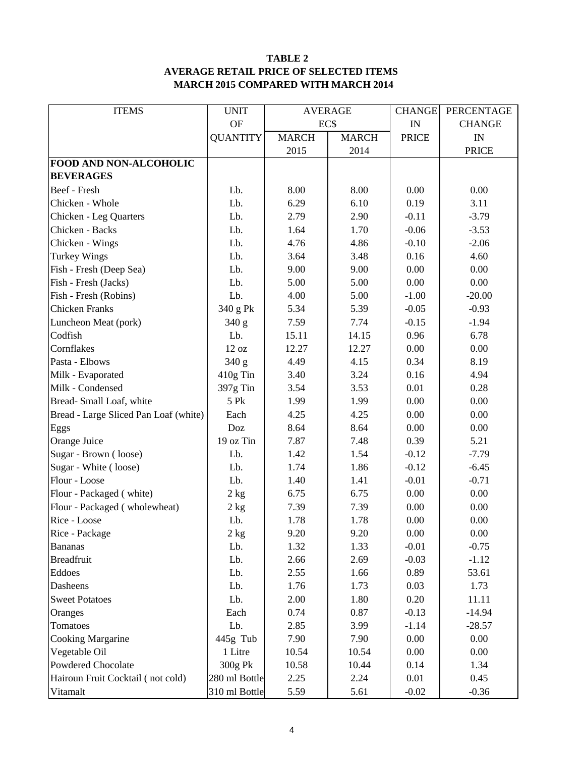#### **TABLE 2 AVERAGE RETAIL PRICE OF SELECTED ITEMS MARCH 2015 COMPARED WITH MARCH 2014**

| <b>ITEMS</b>                          | <b>UNIT</b>     |              | <b>AVERAGE</b> | <b>CHANGE</b> | PERCENTAGE    |
|---------------------------------------|-----------------|--------------|----------------|---------------|---------------|
|                                       | <b>OF</b>       | EC\$         |                | IN            | <b>CHANGE</b> |
|                                       | <b>QUANTITY</b> | <b>MARCH</b> | <b>MARCH</b>   | <b>PRICE</b>  | IN            |
|                                       |                 | 2015         | 2014           |               | <b>PRICE</b>  |
| FOOD AND NON-ALCOHOLIC                |                 |              |                |               |               |
| <b>BEVERAGES</b>                      |                 |              |                |               |               |
| Beef - Fresh                          | Lb.             | 8.00         | 8.00           | 0.00          | 0.00          |
| Chicken - Whole                       | Lb.             | 6.29         | 6.10           | 0.19          | 3.11          |
| Chicken - Leg Quarters                | Lb.             | 2.79         | 2.90           | $-0.11$       | $-3.79$       |
| Chicken - Backs                       | Lb.             | 1.64         | 1.70           | $-0.06$       | $-3.53$       |
| Chicken - Wings                       | Lb.             | 4.76         | 4.86           | $-0.10$       | $-2.06$       |
| <b>Turkey Wings</b>                   | Lb.             | 3.64         | 3.48           | 0.16          | 4.60          |
| Fish - Fresh (Deep Sea)               | Lb.             | 9.00         | 9.00           | 0.00          | 0.00          |
| Fish - Fresh (Jacks)                  | Lb.             | 5.00         | 5.00           | 0.00          | 0.00          |
| Fish - Fresh (Robins)                 | Lb.             | 4.00         | 5.00           | $-1.00$       | $-20.00$      |
| <b>Chicken Franks</b>                 | 340 g Pk        | 5.34         | 5.39           | $-0.05$       | $-0.93$       |
| Luncheon Meat (pork)                  | 340 g           | 7.59         | 7.74           | $-0.15$       | $-1.94$       |
| Codfish                               | Lb.             | 15.11        | 14.15          | 0.96          | 6.78          |
| Cornflakes                            | 12 oz           | 12.27        | 12.27          | 0.00          | 0.00          |
| Pasta - Elbows                        | 340 g           | 4.49         | 4.15           | 0.34          | 8.19          |
| Milk - Evaporated                     | 410g Tin        | 3.40         | 3.24           | 0.16          | 4.94          |
| Milk - Condensed                      | 397g Tin        | 3.54         | 3.53           | 0.01          | 0.28          |
| Bread-Small Loaf, white               | 5 Pk            | 1.99         | 1.99           | 0.00          | 0.00          |
| Bread - Large Sliced Pan Loaf (white) | Each            | 4.25         | 4.25           | 0.00          | 0.00          |
| Eggs                                  | Doz             | 8.64         | 8.64           | 0.00          | 0.00          |
| Orange Juice                          | 19 oz Tin       | 7.87         | 7.48           | 0.39          | 5.21          |
| Sugar - Brown (loose)                 | Lb.             | 1.42         | 1.54           | $-0.12$       | $-7.79$       |
| Sugar - White (loose)                 | Lb.             | 1.74         | 1.86           | $-0.12$       | $-6.45$       |
| Flour - Loose                         | Lb.             | 1.40         | 1.41           | $-0.01$       | $-0.71$       |
| Flour - Packaged (white)              | 2 kg            | 6.75         | 6.75           | 0.00          | 0.00          |
| Flour - Packaged (wholewheat)         | 2 kg            | 7.39         | 7.39           | 0.00          | 0.00          |
| Rice - Loose                          | Lb.             | 1.78         | 1.78           | 0.00          | 0.00          |
| Rice - Package                        | 2 kg            | 9.20         | 9.20           | 0.00          | 0.00          |
| <b>Bananas</b>                        | Lb.             | 1.32         | 1.33           | $-0.01$       | $-0.75$       |
| <b>Breadfruit</b>                     | Lb.             | 2.66         | 2.69           | $-0.03$       | $-1.12$       |
| Eddoes                                | Lb.             | 2.55         | 1.66           | 0.89          | 53.61         |
| Dasheens                              | Lb.             | 1.76         | 1.73           | 0.03          | 1.73          |
| <b>Sweet Potatoes</b>                 | Lb.             | 2.00         | 1.80           | 0.20          | 11.11         |
| Oranges                               | Each            | 0.74         | 0.87           | $-0.13$       | $-14.94$      |
| Tomatoes                              | Lb.             | 2.85         | 3.99           | $-1.14$       | $-28.57$      |
| <b>Cooking Margarine</b>              | 445g Tub        | 7.90         | 7.90           | 0.00          | 0.00          |
| Vegetable Oil                         | 1 Litre         | 10.54        | 10.54          | 0.00          | 0.00          |
| Powdered Chocolate                    | 300g Pk         | 10.58        | 10.44          | 0.14          | 1.34          |
| Hairoun Fruit Cocktail (not cold)     | 280 ml Bottle   | 2.25         | 2.24           | 0.01          | 0.45          |
| Vitamalt                              | 310 ml Bottle   | 5.59         | 5.61           | $-0.02$       | $-0.36$       |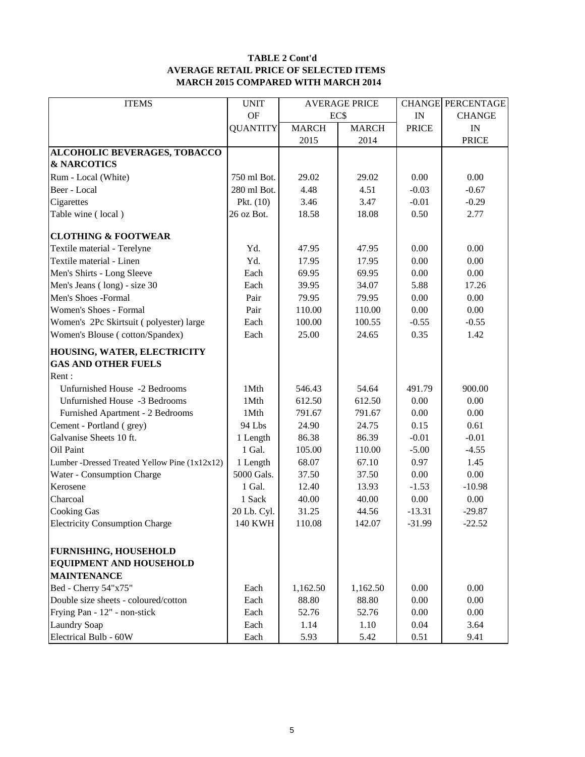#### **TABLE 2 Cont'd AVERAGE RETAIL PRICE OF SELECTED ITEMS MARCH 2015 COMPARED WITH MARCH 2014**

| <b>OF</b><br>EC\$<br>IN<br><b>CHANGE</b><br><b>QUANTITY</b><br><b>MARCH</b><br><b>MARCH</b><br><b>PRICE</b><br>${\rm IN}$<br>2015<br>2014<br><b>PRICE</b><br>ALCOHOLIC BEVERAGES, TOBACCO<br><b>&amp; NARCOTICS</b><br>Rum - Local (White)<br>750 ml Bot.<br>29.02<br>0.00<br>0.00<br>29.02<br>Beer - Local<br>280 ml Bot.<br>4.48<br>4.51<br>$-0.03$<br>$-0.67$<br>3.47<br>$-0.29$<br>Cigarettes<br>Pkt. $(10)$<br>3.46<br>$-0.01$<br>Table wine (local)<br>26 oz Bot.<br>18.58<br>18.08<br>0.50<br>2.77<br><b>CLOTHING &amp; FOOTWEAR</b><br>Textile material - Terelyne<br>Yd.<br>47.95<br>47.95<br>0.00<br>0.00<br>Yd.<br>Textile material - Linen<br>0.00<br>0.00<br>17.95<br>17.95<br>0.00<br>Men's Shirts - Long Sleeve<br>Each<br>69.95<br>69.95<br>0.00<br>Men's Jeans (long) - size 30<br>34.07<br>5.88<br>17.26<br>Each<br>39.95<br>Men's Shoes -Formal<br>Pair<br>79.95<br>79.95<br>0.00<br>0.00<br>Women's Shoes - Formal<br>Pair<br>110.00<br>110.00<br>0.00<br>0.00<br>Women's 2Pc Skirtsuit (polyester) large<br>100.00<br>100.55<br>$-0.55$<br>$-0.55$<br>Each<br>25.00<br>Women's Blouse (cotton/Spandex)<br>Each<br>24.65<br>0.35<br>1.42<br><b>GAS AND OTHER FUELS</b><br>Unfurnished House -2 Bedrooms<br>1Mth<br>546.43<br>54.64<br>491.79<br>900.00<br>Unfurnished House -3 Bedrooms<br>1Mth<br>612.50<br>612.50<br>0.00<br>0.00<br>Furnished Apartment - 2 Bedrooms<br>1Mth<br>0.00<br>0.00<br>791.67<br>791.67<br>Cement - Portland (grey)<br>94 Lbs<br>24.90<br>24.75<br>0.15<br>0.61<br>Galvanise Sheets 10 ft.<br>1 Length<br>86.38<br>86.39<br>$-0.01$<br>$-0.01$<br>Oil Paint<br>1 Gal.<br>105.00<br>110.00<br>$-5.00$<br>$-4.55$<br>1.45<br>Lumber -Dressed Treated Yellow Pine (1x12x12)<br>68.07<br>67.10<br>0.97<br>1 Length<br>Water - Consumption Charge<br>5000 Gals.<br>37.50<br>37.50<br>0.00<br>0.00<br>Kerosene<br>1 Gal.<br>12.40<br>13.93<br>$-10.98$<br>$-1.53$<br>Charcoal<br>1 Sack<br>0.00<br>40.00<br>40.00<br>0.00<br>20 Lb. Cyl.<br>31.25<br>44.56<br>$-13.31$<br>$-29.87$<br><b>140 KWH</b><br>$-22.52$<br>110.08<br>142.07<br>31.99 | <b>ITEMS</b>                                         | <b>UNIT</b> | <b>AVERAGE PRICE</b> |  | <b>CHANGE PERCENTAGE</b> |
|-----------------------------------------------------------------------------------------------------------------------------------------------------------------------------------------------------------------------------------------------------------------------------------------------------------------------------------------------------------------------------------------------------------------------------------------------------------------------------------------------------------------------------------------------------------------------------------------------------------------------------------------------------------------------------------------------------------------------------------------------------------------------------------------------------------------------------------------------------------------------------------------------------------------------------------------------------------------------------------------------------------------------------------------------------------------------------------------------------------------------------------------------------------------------------------------------------------------------------------------------------------------------------------------------------------------------------------------------------------------------------------------------------------------------------------------------------------------------------------------------------------------------------------------------------------------------------------------------------------------------------------------------------------------------------------------------------------------------------------------------------------------------------------------------------------------------------------------------------------------------------------------------------------------------------------------------------------------------------------------------------------------------------------------------------------------------------------------|------------------------------------------------------|-------------|----------------------|--|--------------------------|
|                                                                                                                                                                                                                                                                                                                                                                                                                                                                                                                                                                                                                                                                                                                                                                                                                                                                                                                                                                                                                                                                                                                                                                                                                                                                                                                                                                                                                                                                                                                                                                                                                                                                                                                                                                                                                                                                                                                                                                                                                                                                                         |                                                      |             |                      |  |                          |
|                                                                                                                                                                                                                                                                                                                                                                                                                                                                                                                                                                                                                                                                                                                                                                                                                                                                                                                                                                                                                                                                                                                                                                                                                                                                                                                                                                                                                                                                                                                                                                                                                                                                                                                                                                                                                                                                                                                                                                                                                                                                                         |                                                      |             |                      |  |                          |
|                                                                                                                                                                                                                                                                                                                                                                                                                                                                                                                                                                                                                                                                                                                                                                                                                                                                                                                                                                                                                                                                                                                                                                                                                                                                                                                                                                                                                                                                                                                                                                                                                                                                                                                                                                                                                                                                                                                                                                                                                                                                                         |                                                      |             |                      |  |                          |
|                                                                                                                                                                                                                                                                                                                                                                                                                                                                                                                                                                                                                                                                                                                                                                                                                                                                                                                                                                                                                                                                                                                                                                                                                                                                                                                                                                                                                                                                                                                                                                                                                                                                                                                                                                                                                                                                                                                                                                                                                                                                                         |                                                      |             |                      |  |                          |
|                                                                                                                                                                                                                                                                                                                                                                                                                                                                                                                                                                                                                                                                                                                                                                                                                                                                                                                                                                                                                                                                                                                                                                                                                                                                                                                                                                                                                                                                                                                                                                                                                                                                                                                                                                                                                                                                                                                                                                                                                                                                                         |                                                      |             |                      |  |                          |
|                                                                                                                                                                                                                                                                                                                                                                                                                                                                                                                                                                                                                                                                                                                                                                                                                                                                                                                                                                                                                                                                                                                                                                                                                                                                                                                                                                                                                                                                                                                                                                                                                                                                                                                                                                                                                                                                                                                                                                                                                                                                                         |                                                      |             |                      |  |                          |
|                                                                                                                                                                                                                                                                                                                                                                                                                                                                                                                                                                                                                                                                                                                                                                                                                                                                                                                                                                                                                                                                                                                                                                                                                                                                                                                                                                                                                                                                                                                                                                                                                                                                                                                                                                                                                                                                                                                                                                                                                                                                                         |                                                      |             |                      |  |                          |
|                                                                                                                                                                                                                                                                                                                                                                                                                                                                                                                                                                                                                                                                                                                                                                                                                                                                                                                                                                                                                                                                                                                                                                                                                                                                                                                                                                                                                                                                                                                                                                                                                                                                                                                                                                                                                                                                                                                                                                                                                                                                                         |                                                      |             |                      |  |                          |
|                                                                                                                                                                                                                                                                                                                                                                                                                                                                                                                                                                                                                                                                                                                                                                                                                                                                                                                                                                                                                                                                                                                                                                                                                                                                                                                                                                                                                                                                                                                                                                                                                                                                                                                                                                                                                                                                                                                                                                                                                                                                                         |                                                      |             |                      |  |                          |
|                                                                                                                                                                                                                                                                                                                                                                                                                                                                                                                                                                                                                                                                                                                                                                                                                                                                                                                                                                                                                                                                                                                                                                                                                                                                                                                                                                                                                                                                                                                                                                                                                                                                                                                                                                                                                                                                                                                                                                                                                                                                                         |                                                      |             |                      |  |                          |
|                                                                                                                                                                                                                                                                                                                                                                                                                                                                                                                                                                                                                                                                                                                                                                                                                                                                                                                                                                                                                                                                                                                                                                                                                                                                                                                                                                                                                                                                                                                                                                                                                                                                                                                                                                                                                                                                                                                                                                                                                                                                                         |                                                      |             |                      |  |                          |
|                                                                                                                                                                                                                                                                                                                                                                                                                                                                                                                                                                                                                                                                                                                                                                                                                                                                                                                                                                                                                                                                                                                                                                                                                                                                                                                                                                                                                                                                                                                                                                                                                                                                                                                                                                                                                                                                                                                                                                                                                                                                                         |                                                      |             |                      |  |                          |
|                                                                                                                                                                                                                                                                                                                                                                                                                                                                                                                                                                                                                                                                                                                                                                                                                                                                                                                                                                                                                                                                                                                                                                                                                                                                                                                                                                                                                                                                                                                                                                                                                                                                                                                                                                                                                                                                                                                                                                                                                                                                                         |                                                      |             |                      |  |                          |
|                                                                                                                                                                                                                                                                                                                                                                                                                                                                                                                                                                                                                                                                                                                                                                                                                                                                                                                                                                                                                                                                                                                                                                                                                                                                                                                                                                                                                                                                                                                                                                                                                                                                                                                                                                                                                                                                                                                                                                                                                                                                                         |                                                      |             |                      |  |                          |
|                                                                                                                                                                                                                                                                                                                                                                                                                                                                                                                                                                                                                                                                                                                                                                                                                                                                                                                                                                                                                                                                                                                                                                                                                                                                                                                                                                                                                                                                                                                                                                                                                                                                                                                                                                                                                                                                                                                                                                                                                                                                                         |                                                      |             |                      |  |                          |
|                                                                                                                                                                                                                                                                                                                                                                                                                                                                                                                                                                                                                                                                                                                                                                                                                                                                                                                                                                                                                                                                                                                                                                                                                                                                                                                                                                                                                                                                                                                                                                                                                                                                                                                                                                                                                                                                                                                                                                                                                                                                                         |                                                      |             |                      |  |                          |
|                                                                                                                                                                                                                                                                                                                                                                                                                                                                                                                                                                                                                                                                                                                                                                                                                                                                                                                                                                                                                                                                                                                                                                                                                                                                                                                                                                                                                                                                                                                                                                                                                                                                                                                                                                                                                                                                                                                                                                                                                                                                                         |                                                      |             |                      |  |                          |
|                                                                                                                                                                                                                                                                                                                                                                                                                                                                                                                                                                                                                                                                                                                                                                                                                                                                                                                                                                                                                                                                                                                                                                                                                                                                                                                                                                                                                                                                                                                                                                                                                                                                                                                                                                                                                                                                                                                                                                                                                                                                                         |                                                      |             |                      |  |                          |
|                                                                                                                                                                                                                                                                                                                                                                                                                                                                                                                                                                                                                                                                                                                                                                                                                                                                                                                                                                                                                                                                                                                                                                                                                                                                                                                                                                                                                                                                                                                                                                                                                                                                                                                                                                                                                                                                                                                                                                                                                                                                                         | HOUSING, WATER, ELECTRICITY                          |             |                      |  |                          |
|                                                                                                                                                                                                                                                                                                                                                                                                                                                                                                                                                                                                                                                                                                                                                                                                                                                                                                                                                                                                                                                                                                                                                                                                                                                                                                                                                                                                                                                                                                                                                                                                                                                                                                                                                                                                                                                                                                                                                                                                                                                                                         |                                                      |             |                      |  |                          |
|                                                                                                                                                                                                                                                                                                                                                                                                                                                                                                                                                                                                                                                                                                                                                                                                                                                                                                                                                                                                                                                                                                                                                                                                                                                                                                                                                                                                                                                                                                                                                                                                                                                                                                                                                                                                                                                                                                                                                                                                                                                                                         | Rent:                                                |             |                      |  |                          |
|                                                                                                                                                                                                                                                                                                                                                                                                                                                                                                                                                                                                                                                                                                                                                                                                                                                                                                                                                                                                                                                                                                                                                                                                                                                                                                                                                                                                                                                                                                                                                                                                                                                                                                                                                                                                                                                                                                                                                                                                                                                                                         |                                                      |             |                      |  |                          |
|                                                                                                                                                                                                                                                                                                                                                                                                                                                                                                                                                                                                                                                                                                                                                                                                                                                                                                                                                                                                                                                                                                                                                                                                                                                                                                                                                                                                                                                                                                                                                                                                                                                                                                                                                                                                                                                                                                                                                                                                                                                                                         |                                                      |             |                      |  |                          |
|                                                                                                                                                                                                                                                                                                                                                                                                                                                                                                                                                                                                                                                                                                                                                                                                                                                                                                                                                                                                                                                                                                                                                                                                                                                                                                                                                                                                                                                                                                                                                                                                                                                                                                                                                                                                                                                                                                                                                                                                                                                                                         |                                                      |             |                      |  |                          |
|                                                                                                                                                                                                                                                                                                                                                                                                                                                                                                                                                                                                                                                                                                                                                                                                                                                                                                                                                                                                                                                                                                                                                                                                                                                                                                                                                                                                                                                                                                                                                                                                                                                                                                                                                                                                                                                                                                                                                                                                                                                                                         |                                                      |             |                      |  |                          |
|                                                                                                                                                                                                                                                                                                                                                                                                                                                                                                                                                                                                                                                                                                                                                                                                                                                                                                                                                                                                                                                                                                                                                                                                                                                                                                                                                                                                                                                                                                                                                                                                                                                                                                                                                                                                                                                                                                                                                                                                                                                                                         |                                                      |             |                      |  |                          |
|                                                                                                                                                                                                                                                                                                                                                                                                                                                                                                                                                                                                                                                                                                                                                                                                                                                                                                                                                                                                                                                                                                                                                                                                                                                                                                                                                                                                                                                                                                                                                                                                                                                                                                                                                                                                                                                                                                                                                                                                                                                                                         |                                                      |             |                      |  |                          |
|                                                                                                                                                                                                                                                                                                                                                                                                                                                                                                                                                                                                                                                                                                                                                                                                                                                                                                                                                                                                                                                                                                                                                                                                                                                                                                                                                                                                                                                                                                                                                                                                                                                                                                                                                                                                                                                                                                                                                                                                                                                                                         |                                                      |             |                      |  |                          |
|                                                                                                                                                                                                                                                                                                                                                                                                                                                                                                                                                                                                                                                                                                                                                                                                                                                                                                                                                                                                                                                                                                                                                                                                                                                                                                                                                                                                                                                                                                                                                                                                                                                                                                                                                                                                                                                                                                                                                                                                                                                                                         |                                                      |             |                      |  |                          |
|                                                                                                                                                                                                                                                                                                                                                                                                                                                                                                                                                                                                                                                                                                                                                                                                                                                                                                                                                                                                                                                                                                                                                                                                                                                                                                                                                                                                                                                                                                                                                                                                                                                                                                                                                                                                                                                                                                                                                                                                                                                                                         |                                                      |             |                      |  |                          |
|                                                                                                                                                                                                                                                                                                                                                                                                                                                                                                                                                                                                                                                                                                                                                                                                                                                                                                                                                                                                                                                                                                                                                                                                                                                                                                                                                                                                                                                                                                                                                                                                                                                                                                                                                                                                                                                                                                                                                                                                                                                                                         |                                                      |             |                      |  |                          |
|                                                                                                                                                                                                                                                                                                                                                                                                                                                                                                                                                                                                                                                                                                                                                                                                                                                                                                                                                                                                                                                                                                                                                                                                                                                                                                                                                                                                                                                                                                                                                                                                                                                                                                                                                                                                                                                                                                                                                                                                                                                                                         | <b>Cooking Gas</b>                                   |             |                      |  |                          |
|                                                                                                                                                                                                                                                                                                                                                                                                                                                                                                                                                                                                                                                                                                                                                                                                                                                                                                                                                                                                                                                                                                                                                                                                                                                                                                                                                                                                                                                                                                                                                                                                                                                                                                                                                                                                                                                                                                                                                                                                                                                                                         | <b>Electricity Consumption Charge</b>                |             |                      |  |                          |
|                                                                                                                                                                                                                                                                                                                                                                                                                                                                                                                                                                                                                                                                                                                                                                                                                                                                                                                                                                                                                                                                                                                                                                                                                                                                                                                                                                                                                                                                                                                                                                                                                                                                                                                                                                                                                                                                                                                                                                                                                                                                                         |                                                      |             |                      |  |                          |
|                                                                                                                                                                                                                                                                                                                                                                                                                                                                                                                                                                                                                                                                                                                                                                                                                                                                                                                                                                                                                                                                                                                                                                                                                                                                                                                                                                                                                                                                                                                                                                                                                                                                                                                                                                                                                                                                                                                                                                                                                                                                                         | <b>FURNISHING, HOUSEHOLD</b>                         |             |                      |  |                          |
|                                                                                                                                                                                                                                                                                                                                                                                                                                                                                                                                                                                                                                                                                                                                                                                                                                                                                                                                                                                                                                                                                                                                                                                                                                                                                                                                                                                                                                                                                                                                                                                                                                                                                                                                                                                                                                                                                                                                                                                                                                                                                         | <b>EQUIPMENT AND HOUSEHOLD</b><br><b>MAINTENANCE</b> |             |                      |  |                          |
| 0.00<br>Each                                                                                                                                                                                                                                                                                                                                                                                                                                                                                                                                                                                                                                                                                                                                                                                                                                                                                                                                                                                                                                                                                                                                                                                                                                                                                                                                                                                                                                                                                                                                                                                                                                                                                                                                                                                                                                                                                                                                                                                                                                                                            | Bed - Cherry 54"x75"                                 |             |                      |  |                          |
| 1,162.50<br>1,162.50<br>0.00<br>88.80<br>88.80<br>0.00<br>0.00<br>Each                                                                                                                                                                                                                                                                                                                                                                                                                                                                                                                                                                                                                                                                                                                                                                                                                                                                                                                                                                                                                                                                                                                                                                                                                                                                                                                                                                                                                                                                                                                                                                                                                                                                                                                                                                                                                                                                                                                                                                                                                  | Double size sheets - coloured/cotton                 |             |                      |  |                          |
| 52.76<br>52.76<br>0.00<br>0.00<br>Each                                                                                                                                                                                                                                                                                                                                                                                                                                                                                                                                                                                                                                                                                                                                                                                                                                                                                                                                                                                                                                                                                                                                                                                                                                                                                                                                                                                                                                                                                                                                                                                                                                                                                                                                                                                                                                                                                                                                                                                                                                                  |                                                      |             |                      |  |                          |
| 0.04<br>3.64<br>Each<br>1.14<br>1.10                                                                                                                                                                                                                                                                                                                                                                                                                                                                                                                                                                                                                                                                                                                                                                                                                                                                                                                                                                                                                                                                                                                                                                                                                                                                                                                                                                                                                                                                                                                                                                                                                                                                                                                                                                                                                                                                                                                                                                                                                                                    | Frying Pan - 12" - non-stick<br><b>Laundry Soap</b>  |             |                      |  |                          |
| 5.93<br>5.42<br>0.51<br>9.41<br>Each                                                                                                                                                                                                                                                                                                                                                                                                                                                                                                                                                                                                                                                                                                                                                                                                                                                                                                                                                                                                                                                                                                                                                                                                                                                                                                                                                                                                                                                                                                                                                                                                                                                                                                                                                                                                                                                                                                                                                                                                                                                    | Electrical Bulb - 60W                                |             |                      |  |                          |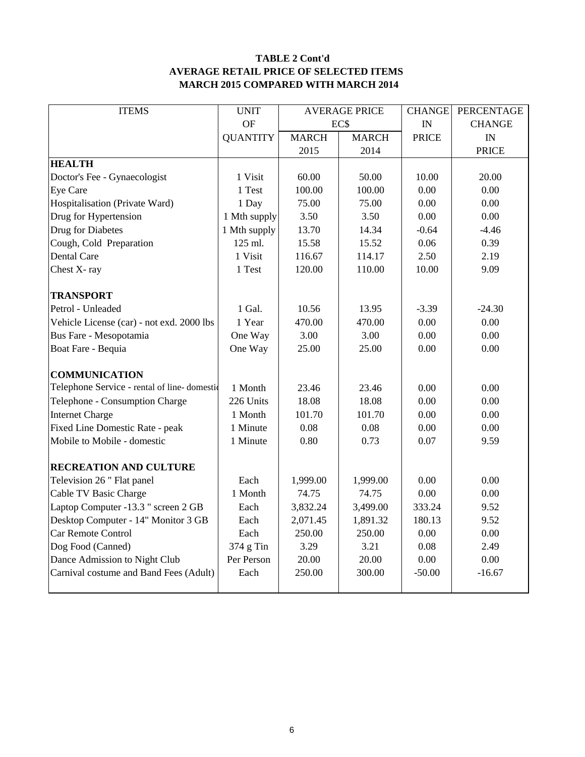### **TABLE 2 Cont'd AVERAGE RETAIL PRICE OF SELECTED ITEMS MARCH 2015 COMPARED WITH MARCH 2014**

| <b>ITEMS</b>                                | <b>UNIT</b>     |              | <b>AVERAGE PRICE</b> | <b>CHANGE</b> | PERCENTAGE    |
|---------------------------------------------|-----------------|--------------|----------------------|---------------|---------------|
|                                             | <b>OF</b>       |              | EC\$                 | IN            | <b>CHANGE</b> |
|                                             | <b>QUANTITY</b> | <b>MARCH</b> | <b>MARCH</b>         | <b>PRICE</b>  | IN            |
|                                             |                 | 2015         | 2014                 |               | <b>PRICE</b>  |
| <b>HEALTH</b>                               |                 |              |                      |               |               |
| Doctor's Fee - Gynaecologist                | 1 Visit         | 60.00        | 50.00                | 10.00         | 20.00         |
| Eye Care                                    | 1 Test          | 100.00       | 100.00               | 0.00          | 0.00          |
| Hospitalisation (Private Ward)              | 1 Day           | 75.00        | 75.00                | 0.00          | 0.00          |
| Drug for Hypertension                       | 1 Mth supply    | 3.50         | 3.50                 | 0.00          | 0.00          |
| Drug for Diabetes                           | 1 Mth supply    | 13.70        | 14.34                | $-0.64$       | $-4.46$       |
| Cough, Cold Preparation                     | 125 ml.         | 15.58        | 15.52                | 0.06          | 0.39          |
| Dental Care                                 | 1 Visit         | 116.67       | 114.17               | 2.50          | 2.19          |
| Chest X-ray                                 | 1 Test          | 120.00       | 110.00               | 10.00         | 9.09          |
|                                             |                 |              |                      |               |               |
| <b>TRANSPORT</b>                            |                 |              |                      |               |               |
| Petrol - Unleaded                           | 1 Gal.          | 10.56        | 13.95                | $-3.39$       | $-24.30$      |
| Vehicle License (car) - not exd. 2000 lbs   | 1 Year          | 470.00       | 470.00               | 0.00          | 0.00          |
| Bus Fare - Mesopotamia                      | One Way         | 3.00         | 3.00                 | 0.00          | 0.00          |
| Boat Fare - Bequia                          | One Way         | 25.00        | 25.00                | 0.00          | 0.00          |
|                                             |                 |              |                      |               |               |
| <b>COMMUNICATION</b>                        |                 |              |                      |               |               |
| Telephone Service - rental of line-domestic | 1 Month         | 23.46        | 23.46                | 0.00          | 0.00          |
| Telephone - Consumption Charge              | 226 Units       | 18.08        | 18.08                | 0.00          | 0.00          |
| <b>Internet Charge</b>                      | 1 Month         | 101.70       | 101.70               | 0.00          | 0.00          |
| Fixed Line Domestic Rate - peak             | 1 Minute        | 0.08         | 0.08                 | 0.00          | 0.00          |
| Mobile to Mobile - domestic                 | 1 Minute        | 0.80         | 0.73                 | 0.07          | 9.59          |
|                                             |                 |              |                      |               |               |
| <b>RECREATION AND CULTURE</b>               |                 |              |                      |               |               |
| Television 26 " Flat panel                  | Each            | 1,999.00     | 1,999.00             | 0.00          | 0.00          |
| Cable TV Basic Charge                       | 1 Month         | 74.75        | 74.75                | 0.00          | 0.00          |
| Laptop Computer -13.3 " screen 2 GB         | Each            | 3,832.24     | 3,499.00             | 333.24        | 9.52          |
| Desktop Computer - 14" Monitor 3 GB         | Each            | 2,071.45     | 1,891.32             | 180.13        | 9.52          |
| Car Remote Control                          | Each            | 250.00       | 250.00               | 0.00          | 0.00          |
| Dog Food (Canned)                           | 374 g Tin       | 3.29         | 3.21                 | 0.08          | 2.49          |
| Dance Admission to Night Club               | Per Person      | 20.00        | 20.00                | 0.00          | 0.00          |
| Carnival costume and Band Fees (Adult)      | Each            | 250.00       | 300.00               | $-50.00$      | $-16.67$      |
|                                             |                 |              |                      |               |               |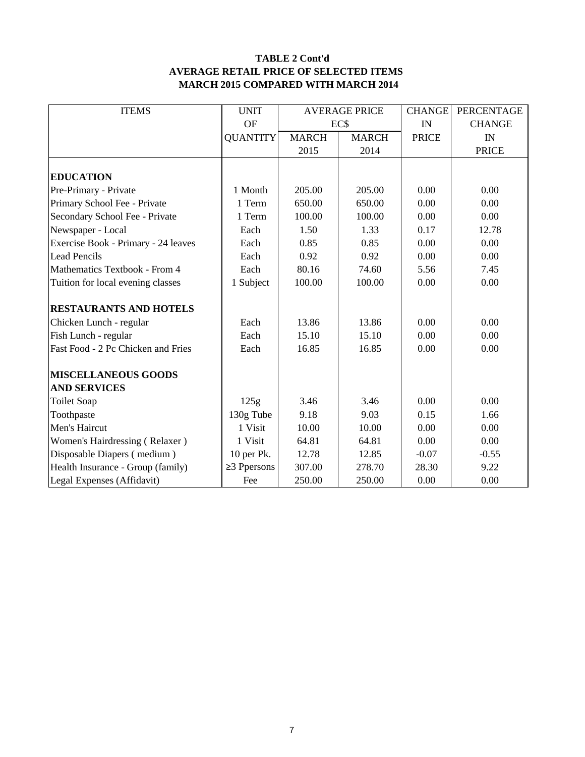#### **TABLE 2 Cont'd AVERAGE RETAIL PRICE OF SELECTED ITEMS MARCH 2015 COMPARED WITH MARCH 2014**

| <b>ITEMS</b>                        | <b>UNIT</b>       |                              | <b>AVERAGE PRICE</b> | <b>CHANGE</b> | <b>PERCENTAGE</b> |
|-------------------------------------|-------------------|------------------------------|----------------------|---------------|-------------------|
|                                     | <b>OF</b>         | EC\$                         |                      | IN            | <b>CHANGE</b>     |
|                                     | <b>QUANTITY</b>   | <b>MARCH</b><br><b>MARCH</b> |                      | <b>PRICE</b>  | IN                |
|                                     |                   | 2015                         | 2014                 |               | <b>PRICE</b>      |
|                                     |                   |                              |                      |               |                   |
| <b>EDUCATION</b>                    |                   |                              |                      |               |                   |
| Pre-Primary - Private               | 1 Month           | 205.00                       | 205.00               | 0.00          | 0.00              |
| Primary School Fee - Private        | 1 Term            | 650.00                       | 650.00               | 0.00          | 0.00              |
| Secondary School Fee - Private      | 1 Term            | 100.00                       | 100.00               | 0.00          | 0.00              |
| Newspaper - Local                   | Each              | 1.50                         | 1.33                 | 0.17          | 12.78             |
| Exercise Book - Primary - 24 leaves | Each              | 0.85                         | 0.85                 | 0.00          | 0.00              |
| <b>Lead Pencils</b>                 | Each              | 0.92                         | 0.92                 | 0.00          | 0.00              |
| Mathematics Textbook - From 4       | Each              | 80.16                        | 74.60                | 5.56          | 7.45              |
| Tuition for local evening classes   | 1 Subject         | 100.00                       | 100.00               | 0.00          | 0.00              |
| <b>RESTAURANTS AND HOTELS</b>       |                   |                              |                      |               |                   |
| Chicken Lunch - regular             | Each              | 13.86                        | 13.86                | 0.00          | 0.00              |
| Fish Lunch - regular                | Each              | 15.10                        | 15.10                | 0.00          | 0.00              |
| Fast Food - 2 Pc Chicken and Fries  | Each              | 16.85                        | 16.85                | 0.00          | 0.00              |
| <b>MISCELLANEOUS GOODS</b>          |                   |                              |                      |               |                   |
| <b>AND SERVICES</b>                 |                   |                              |                      |               |                   |
| <b>Toilet Soap</b>                  | 125g              | 3.46                         | 3.46                 | 0.00          | 0.00              |
| Toothpaste                          | 130g Tube         | 9.18                         | 9.03                 | 0.15          | 1.66              |
| Men's Haircut                       | 1 Visit           | 10.00                        | 10.00                | 0.00          | 0.00              |
| Women's Hairdressing (Relaxer)      | 1 Visit           | 64.81                        | 64.81                | 0.00          | 0.00              |
| Disposable Diapers (medium)         | 10 per Pk.        | 12.78                        | 12.85                | $-0.07$       | $-0.55$           |
| Health Insurance - Group (family)   | $\geq$ 3 Ppersons | 307.00                       | 278.70               | 28.30         | 9.22              |
| Legal Expenses (Affidavit)          | Fee               | 250.00                       | 250.00               | 0.00          | 0.00              |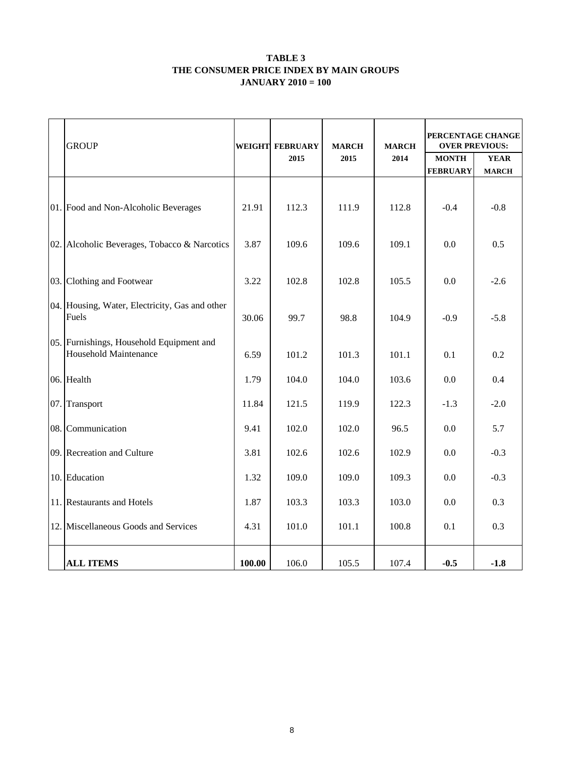#### **TABLE 3 THE CONSUMER PRICE INDEX BY MAIN GROUPS JANUARY 2010 = 100**

| <b>GROUP</b>                                                      | <b>WEIGHT</b> | <b>FEBRUARY</b><br>2015 | <b>MARCH</b><br>2015 | <b>MARCH</b><br>2014 | PERCENTAGE CHANGE<br><b>OVER PREVIOUS:</b><br><b>MONTH</b> |                             |  |
|-------------------------------------------------------------------|---------------|-------------------------|----------------------|----------------------|------------------------------------------------------------|-----------------------------|--|
|                                                                   |               |                         |                      |                      | <b>FEBRUARY</b>                                            | <b>YEAR</b><br><b>MARCH</b> |  |
| 01. Food and Non-Alcoholic Beverages                              | 21.91         | 112.3                   | 111.9                | 112.8                | $-0.4$                                                     | $-0.8$                      |  |
| 02. Alcoholic Beverages, Tobacco & Narcotics                      | 3.87          | 109.6                   | 109.6                | 109.1                | 0.0                                                        | 0.5                         |  |
| 03. Clothing and Footwear                                         | 3.22          | 102.8                   | 102.8                | 105.5                | 0.0                                                        | $-2.6$                      |  |
| 04. Housing, Water, Electricity, Gas and other<br>Fuels           | 30.06         | 99.7                    | 98.8                 | 104.9                | $-0.9$                                                     | $-5.8$                      |  |
| 05. Furnishings, Household Equipment and<br>Household Maintenance | 6.59          | 101.2                   | 101.3                | 101.1                | 0.1                                                        | 0.2                         |  |
| 06. Health                                                        | 1.79          | 104.0                   | 104.0                | 103.6                | 0.0                                                        | 0.4                         |  |
| 07. Transport                                                     | 11.84         | 121.5                   | 119.9                | 122.3                | $-1.3$                                                     | $-2.0$                      |  |
| 08. Communication                                                 | 9.41          | 102.0                   | 102.0                | 96.5                 | 0.0                                                        | 5.7                         |  |
| 09. Recreation and Culture                                        | 3.81          | 102.6                   | 102.6                | 102.9                | 0.0                                                        | $-0.3$                      |  |
| 10. Education                                                     | 1.32          | 109.0                   | 109.0                | 109.3                | 0.0                                                        | $-0.3$                      |  |
| 11. Restaurants and Hotels                                        | 1.87          | 103.3                   | 103.3                | 103.0                | 0.0                                                        | 0.3                         |  |
| 12. Miscellaneous Goods and Services                              | 4.31          | 101.0                   | 101.1                | 100.8                | 0.1                                                        | 0.3                         |  |
| <b>ALL ITEMS</b>                                                  | 100.00        | 106.0                   | 105.5                | 107.4                | $-0.5$                                                     | $-1.8$                      |  |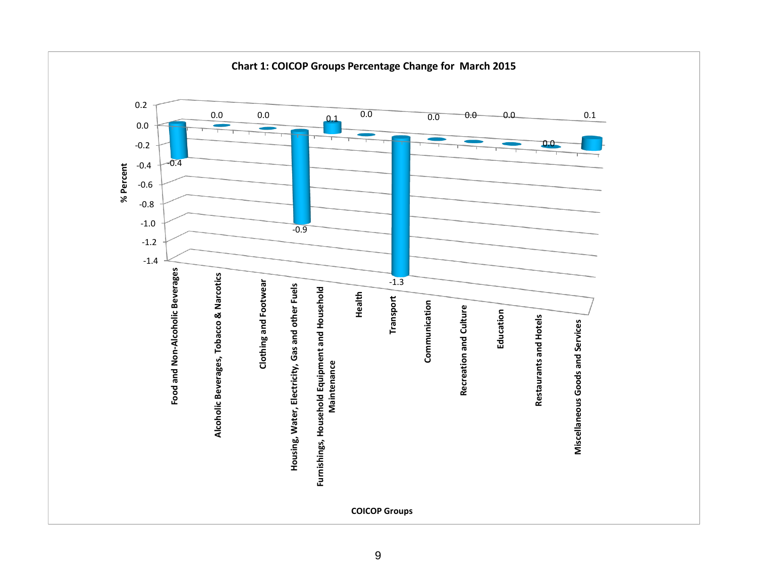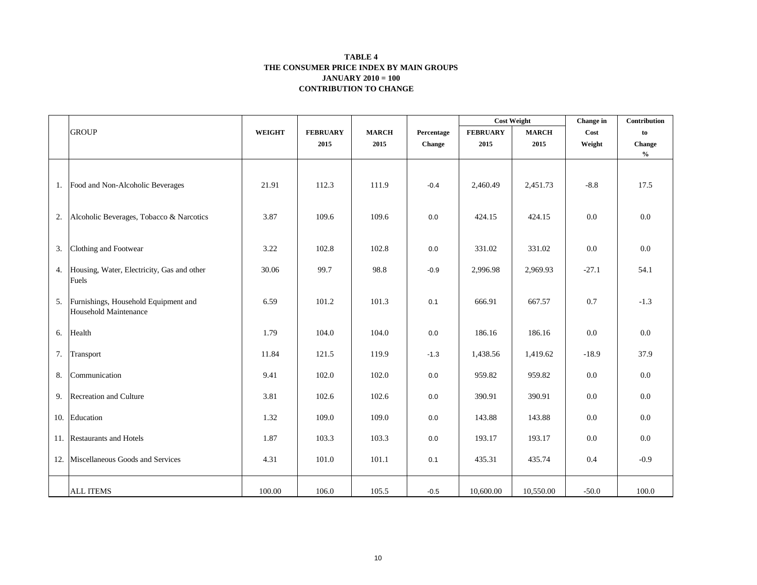#### **CONTRIBUTION TO CHANGE TABLE 4 THE CONSUMER PRICE INDEX BY MAIN GROUPS JANUARY 2010 = 100**

|    |                                                               |               |                 |              |            | <b>Cost Weight</b> |              | Change in | Contribution                       |
|----|---------------------------------------------------------------|---------------|-----------------|--------------|------------|--------------------|--------------|-----------|------------------------------------|
|    | <b>GROUP</b>                                                  | <b>WEIGHT</b> | <b>FEBRUARY</b> | <b>MARCH</b> | Percentage | <b>FEBRUARY</b>    | <b>MARCH</b> | Cost      | to                                 |
|    |                                                               |               | 2015            | 2015         | Change     | 2015               | 2015         | Weight    | Change                             |
|    |                                                               |               |                 |              |            |                    |              |           | $\mathbf{0}_{\mathbf{0}}^{\prime}$ |
|    |                                                               |               |                 |              |            |                    |              |           |                                    |
|    | 1. Food and Non-Alcoholic Beverages                           | 21.91         | 112.3           | 111.9        | $-0.4$     | 2,460.49           | 2,451.73     | $-8.8$    | 17.5                               |
| 2. | Alcoholic Beverages, Tobacco & Narcotics                      | 3.87          | 109.6           | 109.6        | 0.0        | 424.15             | 424.15       | 0.0       | 0.0                                |
| 3. | Clothing and Footwear                                         | 3.22          | 102.8           | 102.8        | 0.0        | 331.02             | 331.02       | 0.0       | 0.0                                |
| 4. | Housing, Water, Electricity, Gas and other<br>Fuels           | 30.06         | 99.7            | 98.8         | $-0.9$     | 2,996.98           | 2,969.93     | $-27.1$   | 54.1                               |
| 5. | Furnishings, Household Equipment and<br>Household Maintenance | 6.59          | 101.2           | 101.3        | 0.1        | 666.91             | 667.57       | 0.7       | $-1.3$                             |
| 6. | Health                                                        | 1.79          | 104.0           | 104.0        | 0.0        | 186.16             | 186.16       | 0.0       | 0.0                                |
| 7. | Transport                                                     | 11.84         | 121.5           | 119.9        | $-1.3$     | 1,438.56           | 1,419.62     | $-18.9$   | 37.9                               |
| 8. | Communication                                                 | 9.41          | 102.0           | 102.0        | $0.0\,$    | 959.82             | 959.82       | $0.0\,$   | $0.0\,$                            |
| 9. | Recreation and Culture                                        | 3.81          | 102.6           | 102.6        | 0.0        | 390.91             | 390.91       | 0.0       | 0.0                                |
|    | 10. Education                                                 | 1.32          | 109.0           | 109.0        | 0.0        | 143.88             | 143.88       | 0.0       | 0.0                                |
|    | 11. Restaurants and Hotels                                    | 1.87          | 103.3           | 103.3        | 0.0        | 193.17             | 193.17       | 0.0       | $0.0\,$                            |
|    | 12. Miscellaneous Goods and Services                          | 4.31          | 101.0           | 101.1        | 0.1        | 435.31             | 435.74       | 0.4       | $-0.9$                             |
|    | <b>ALL ITEMS</b>                                              | 100.00        | 106.0           | 105.5        | $-0.5$     | 10,600.00          | 10,550.00    | $-50.0$   | 100.0                              |